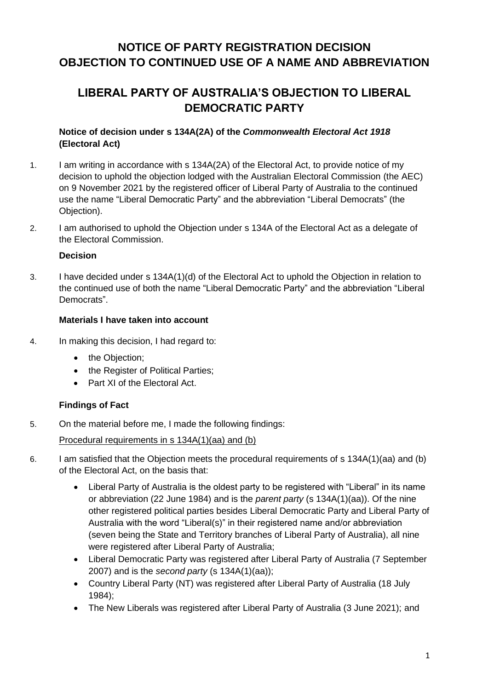# **NOTICE OF PARTY REGISTRATION DECISION OBJECTION TO CONTINUED USE OF A NAME AND ABBREVIATION**

# **LIBERAL PARTY OF AUSTRALIA'S OBJECTION TO LIBERAL DEMOCRATIC PARTY**

## **Notice of decision under s 134A(2A) of the** *Commonwealth Electoral Act 1918* **(Electoral Act)**

- 1. I am writing in accordance with s 134A(2A) of the Electoral Act, to provide notice of my decision to uphold the objection lodged with the Australian Electoral Commission (the AEC) on 9 November 2021 by the registered officer of Liberal Party of Australia to the continued use the name "Liberal Democratic Party" and the abbreviation "Liberal Democrats" (the Objection).
- 2. I am authorised to uphold the Objection under s 134A of the Electoral Act as a delegate of the Electoral Commission.

#### **Decision**

3. I have decided under s 134A(1)(d) of the Electoral Act to uphold the Objection in relation to the continued use of both the name "Liberal Democratic Party" and the abbreviation "Liberal Democrats".

### **Materials I have taken into account**

- 4. In making this decision, I had regard to:
	- the Objection:
	- the Register of Political Parties;
	- Part XI of the Flectoral Act.

# **Findings of Fact**

5. On the material before me, I made the following findings:

### Procedural requirements in s 134A(1)(aa) and (b)

### 6. I am satisfied that the Objection meets the procedural requirements of s 134A(1)(aa) and (b) of the Electoral Act, on the basis that:

- Liberal Party of Australia is the oldest party to be registered with "Liberal" in its name or abbreviation (22 June 1984) and is the *parent party* (s 134A(1)(aa)). Of the nine other registered political parties besides Liberal Democratic Party and Liberal Party of Australia with the word "Liberal(s)" in their registered name and/or abbreviation (seven being the State and Territory branches of Liberal Party of Australia), all nine were registered after Liberal Party of Australia;
- Liberal Democratic Party was registered after Liberal Party of Australia (7 September 2007) and is the *second party* (s 134A(1)(aa));
- Country Liberal Party (NT) was registered after Liberal Party of Australia (18 July 1984);
- The New Liberals was registered after Liberal Party of Australia (3 June 2021); and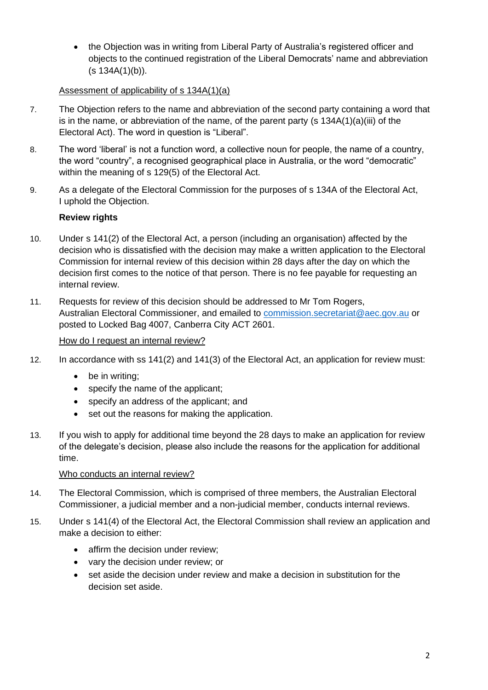• the Objection was in writing from Liberal Party of Australia's registered officer and objects to the continued registration of the Liberal Democrats' name and abbreviation (s 134A(1)(b)).

## Assessment of applicability of s 134A(1)(a)

- 7. The Objection refers to the name and abbreviation of the second party containing a word that is in the name, or abbreviation of the name, of the parent party (s 134A(1)(a)(iii) of the Electoral Act). The word in question is "Liberal".
- 8. The word 'liberal' is not a function word, a collective noun for people, the name of a country, the word "country", a recognised geographical place in Australia, or the word "democratic" within the meaning of s 129(5) of the Electoral Act.
- 9. As a delegate of the Electoral Commission for the purposes of s 134A of the Electoral Act, I uphold the Objection.

# **Review rights**

- 10. Under s 141(2) of the Electoral Act, a person (including an organisation) affected by the decision who is dissatisfied with the decision may make a written application to the Electoral Commission for internal review of this decision within 28 days after the day on which the decision first comes to the notice of that person. There is no fee payable for requesting an internal review.
- 11. Requests for review of this decision should be addressed to Mr Tom Rogers, Australian Electoral Commissioner, and emailed to [commission.secretariat@aec.gov.au](mailto:commission.secretariat@aec.gov.au) or posted to Locked Bag 4007, Canberra City ACT 2601.

#### How do I request an internal review?

- 12. In accordance with ss 141(2) and 141(3) of the Electoral Act, an application for review must:
	- be in writing;
	- specify the name of the applicant;
	- specify an address of the applicant; and
	- set out the reasons for making the application.
- 13. If you wish to apply for additional time beyond the 28 days to make an application for review of the delegate's decision, please also include the reasons for the application for additional time.

#### Who conducts an internal review?

- 14. The Electoral Commission, which is comprised of three members, the Australian Electoral Commissioner, a judicial member and a non-judicial member, conducts internal reviews.
- 15. Under s 141(4) of the Electoral Act, the Electoral Commission shall review an application and make a decision to either:
	- affirm the decision under review;
	- vary the decision under review; or
	- set aside the decision under review and make a decision in substitution for the decision set aside.